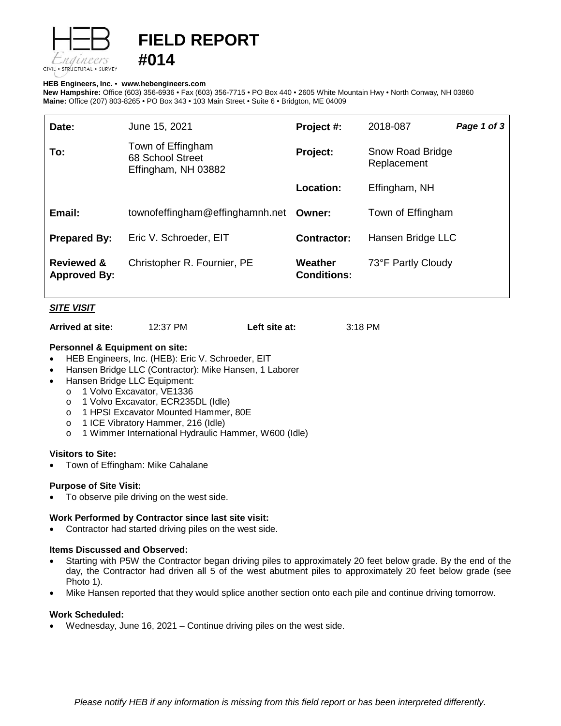

# **FIELD REPORT**

#### **HEB Engineers, Inc.** • **[www.hebengineer](http://www.hebengineers.com/)s.com**

**#014**

**New Hampshire:** Office (603) 356-6936 • Fax (603) 356-7715 • PO Box 440 • 2605 White Mountain Hwy • North Conway, NH 03860 **Maine:** Office (207) 803-8265 • PO Box 343 • 103 Main Street • Suite 6 • Bridgton, ME 04009

| Date:                                        | June 15, 2021                                                | Project #:                    | 2018-087                        | Page 1 of 3 |
|----------------------------------------------|--------------------------------------------------------------|-------------------------------|---------------------------------|-------------|
| To:                                          | Town of Effingham<br>68 School Street<br>Effingham, NH 03882 | Project:                      | Snow Road Bridge<br>Replacement |             |
|                                              |                                                              | Location:                     | Effingham, NH                   |             |
| Email:                                       | townofeffingham@effinghamnh.net                              | Owner:                        | Town of Effingham               |             |
| <b>Prepared By:</b>                          | Eric V. Schroeder, EIT                                       | <b>Contractor:</b>            | Hansen Bridge LLC               |             |
| <b>Reviewed &amp;</b><br><b>Approved By:</b> | Christopher R. Fournier, PE                                  | Weather<br><b>Conditions:</b> | 73°F Partly Cloudy              |             |

## *SITE VISIT*

**Arrived at site:** 12:37 PM **Left site at:** 3:18 PM

#### **Personnel & Equipment on site:**

- HEB Engineers, Inc. (HEB): Eric V. Schroeder, EIT
- Hansen Bridge LLC (Contractor): Mike Hansen, 1 Laborer
- Hansen Bridge LLC Equipment:
	- o 1 Volvo Excavator, VE1336<br>o 1 Volvo Excavator, ECR235
	- 1 Volvo Excavator, ECR235DL (Idle)
	- o 1 HPSI Excavator Mounted Hammer, 80E
	- o 1 ICE Vibratory Hammer, 216 (Idle)
	- o 1 Wimmer International Hydraulic Hammer, W600 (Idle)

### **Visitors to Site:**

• Town of Effingham: Mike Cahalane

#### **Purpose of Site Visit:**

• To observe pile driving on the west side.

# **Work Performed by Contractor since last site visit:**

• Contractor had started driving piles on the west side.

#### **Items Discussed and Observed:**

- Starting with P5W the Contractor began driving piles to approximately 20 feet below grade. By the end of the day, the Contractor had driven all 5 of the west abutment piles to approximately 20 feet below grade (see Photo 1).
- Mike Hansen reported that they would splice another section onto each pile and continue driving tomorrow.

# **Work Scheduled:**

• Wednesday, June 16, 2021 – Continue driving piles on the west side.